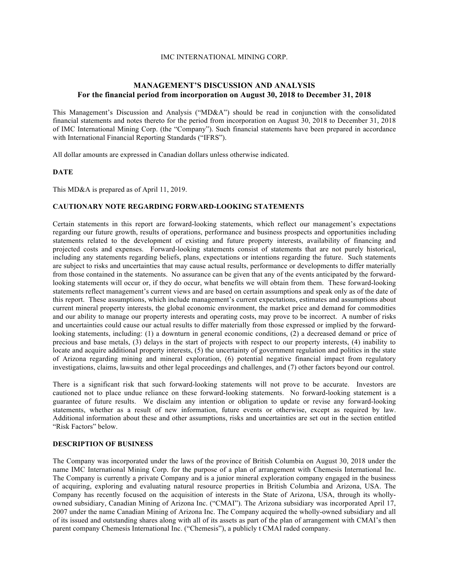## IMC INTERNATIONAL MINING CORP.

# **MANAGEMENT'S DISCUSSION AND ANALYSIS For the financial period from incorporation on August 30, 2018 to December 31, 2018**

This Management's Discussion and Analysis ("MD&A") should be read in conjunction with the consolidated financial statements and notes thereto for the period from incorporation on August 30, 2018 to December 31, 2018 of IMC International Mining Corp. (the "Company"). Such financial statements have been prepared in accordance with International Financial Reporting Standards ("IFRS").

All dollar amounts are expressed in Canadian dollars unless otherwise indicated.

#### **DATE**

This MD&A is prepared as of April 11, 2019.

### **CAUTIONARY NOTE REGARDING FORWARD-LOOKING STATEMENTS**

Certain statements in this report are forward-looking statements, which reflect our management's expectations regarding our future growth, results of operations, performance and business prospects and opportunities including statements related to the development of existing and future property interests, availability of financing and projected costs and expenses. Forward-looking statements consist of statements that are not purely historical, including any statements regarding beliefs, plans, expectations or intentions regarding the future. Such statements are subject to risks and uncertainties that may cause actual results, performance or developments to differ materially from those contained in the statements. No assurance can be given that any of the events anticipated by the forwardlooking statements will occur or, if they do occur, what benefits we will obtain from them. These forward-looking statements reflect management's current views and are based on certain assumptions and speak only as of the date of this report. These assumptions, which include management's current expectations, estimates and assumptions about current mineral property interests, the global economic environment, the market price and demand for commodities and our ability to manage our property interests and operating costs, may prove to be incorrect. A number of risks and uncertainties could cause our actual results to differ materially from those expressed or implied by the forwardlooking statements, including: (1) a downturn in general economic conditions, (2) a decreased demand or price of precious and base metals, (3) delays in the start of projects with respect to our property interests, (4) inability to locate and acquire additional property interests, (5) the uncertainty of government regulation and politics in the state of Arizona regarding mining and mineral exploration, (6) potential negative financial impact from regulatory investigations, claims, lawsuits and other legal proceedings and challenges, and (7) other factors beyond our control.

There is a significant risk that such forward-looking statements will not prove to be accurate. Investors are cautioned not to place undue reliance on these forward-looking statements. No forward-looking statement is a guarantee of future results. We disclaim any intention or obligation to update or revise any forward-looking statements, whether as a result of new information, future events or otherwise, except as required by law. Additional information about these and other assumptions, risks and uncertainties are set out in the section entitled "Risk Factors" below.

### **DESCRIPTION OF BUSINESS**

The Company was incorporated under the laws of the province of British Columbia on August 30, 2018 under the name IMC International Mining Corp. for the purpose of a plan of arrangement with Chemesis International Inc. The Company is currently a private Company and is a junior mineral exploration company engaged in the business of acquiring, exploring and evaluating natural resource properties in British Columbia and Arizona, USA. The Company has recently focused on the acquisition of interests in the State of Arizona, USA, through its whollyowned subsidiary, Canadian Mining of Arizona Inc. ("CMAI"). The Arizona subsidiary was incorporated April 17, 2007 under the name Canadian Mining of Arizona Inc. The Company acquired the wholly-owned subsidiary and all of its issued and outstanding shares along with all of its assets as part of the plan of arrangement with CMAI's then parent company Chemesis International Inc. ("Chemesis"), a publicly t CMAI raded company.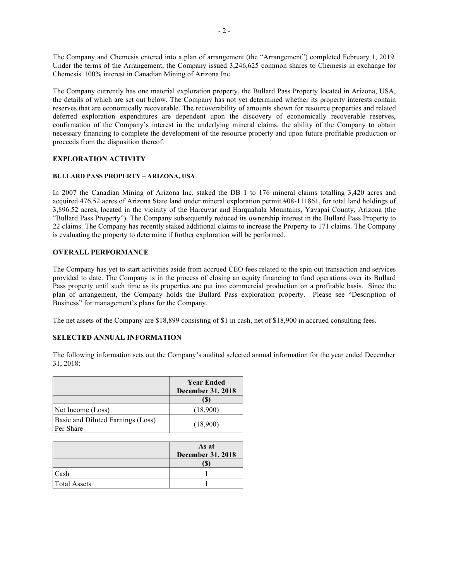The Company and Chemesis entered into a plan of arrangement (the "Arrangement") completed February 1, 2019. Under the terms of the Arrangement, the Company issued 3,246,625 common shares to Chemesis in exchange for Chemesis' 100% interest in Canadian Mining of Arizona Inc.

The Company currently has one material exploration property, the Bullard Pass Property located in Arizona, USA, the details of which are set out below. The Company has not yet determined whether its property interests contain reserves that are economically recoverable. The recoverability of amounts shown for resource properties and related deferred exploration expenditures are dependent upon the discovery of economically recoverable reserves, confirmation of the Company's interest in the underlying mineral claims, the ability of the Company to obtain necessary financing to complete the development of the resource property and upon future profitable production or proceeds from the disposition thereof.

## **EXPLORATION ACTIVITY**

## **BULLARD PASS PROPERTY – ARIZONA, USA**

In 2007 the Canadian Mining of Arizona Inc. staked the DB 1 to 176 mineral claims totalling 3,420 acres and acquired 476.52 acres of Arizona State land under mineral exploration permit #08-111861, for total land holdings of 3,896.52 acres, located in the vicinity of the Harcuvar and Harquahala Mountains, Yavapai County, Arizona (the "Bullard Pass Property"). The Company subsequently reduced its ownership interest in the Bullard Pass Property to 22 claims. The Company has recently staked additional claims to increase the Property to 171 claims. The Company is evaluating the property to determine if further exploration will be performed.

## **OVERALL PERFORMANCE**

The Company has yet to start activities aside from accrued CEO fees related to the spin out transaction and services provided to date. The Company is in the process of closing an equity financing to fund operations over its Bullard Pass property until such time as its properties are put into commercial production on a profitable basis. Since the plan of arrangement, the Company holds the Bullard Pass exploration property. Please see "Description of Business" for management's plans for the Company.

The net assets of the Company are \$18,899 consisting of \$1 in cash, net of \$18,900 in accrued consulting fees.

## **SELECTED ANNUAL INFORMATION**

The following information sets out the Company's audited selected annual information for the year ended December 31, 2018:

|                                                | <b>Year Ended</b><br><b>December 31, 2018</b> |  |
|------------------------------------------------|-----------------------------------------------|--|
|                                                | ſ\$                                           |  |
| Net Income (Loss)                              | (18,900)                                      |  |
| Basic and Diluted Earnings (Loss)<br>Per Share | (18,900)                                      |  |

|                     | As at<br><b>December 31, 2018</b> |
|---------------------|-----------------------------------|
|                     | ۱D                                |
| Cash                |                                   |
| <b>Total Assets</b> |                                   |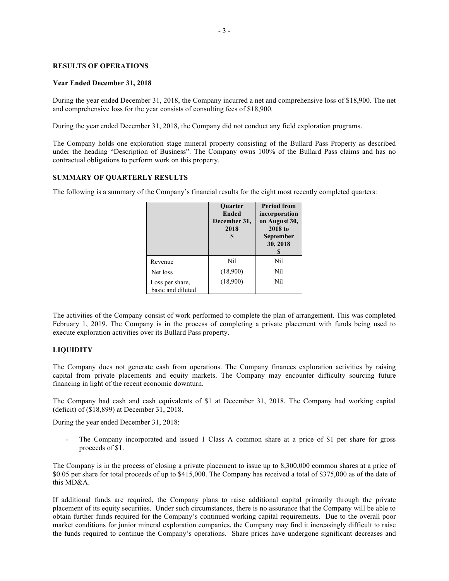### **RESULTS OF OPERATIONS**

#### **Year Ended December 31, 2018**

During the year ended December 31, 2018, the Company incurred a net and comprehensive loss of \$18,900. The net and comprehensive loss for the year consists of consulting fees of \$18,900.

During the year ended December 31, 2018, the Company did not conduct any field exploration programs.

The Company holds one exploration stage mineral property consisting of the Bullard Pass Property as described under the heading "Description of Business". The Company owns 100% of the Bullard Pass claims and has no contractual obligations to perform work on this property.

## **SUMMARY OF QUARTERLY RESULTS**

The following is a summary of the Company's financial results for the eight most recently completed quarters:

|                                      | <b>Ouarter</b><br><b>Ended</b><br>December 31,<br>2018 | <b>Period from</b><br>incorporation<br>on August 30,<br>2018 to<br>September<br>30, 2018 |
|--------------------------------------|--------------------------------------------------------|------------------------------------------------------------------------------------------|
| Revenue                              | Nil                                                    | Nil                                                                                      |
| Net loss                             | (18,900)                                               | Nil                                                                                      |
| Loss per share,<br>basic and diluted | (18,900)                                               | Nil                                                                                      |

The activities of the Company consist of work performed to complete the plan of arrangement. This was completed February 1, 2019. The Company is in the process of completing a private placement with funds being used to execute exploration activities over its Bullard Pass property.

## **LIQUIDITY**

The Company does not generate cash from operations. The Company finances exploration activities by raising capital from private placements and equity markets. The Company may encounter difficulty sourcing future financing in light of the recent economic downturn.

The Company had cash and cash equivalents of \$1 at December 31, 2018. The Company had working capital (deficit) of (\$18,899) at December 31, 2018.

During the year ended December 31, 2018:

The Company incorporated and issued 1 Class A common share at a price of \$1 per share for gross proceeds of \$1.

The Company is in the process of closing a private placement to issue up to 8,300,000 common shares at a price of \$0.05 per share for total proceeds of up to \$415,000. The Company has received a total of \$375,000 as of the date of this MD&A.

If additional funds are required, the Company plans to raise additional capital primarily through the private placement of its equity securities. Under such circumstances, there is no assurance that the Company will be able to obtain further funds required for the Company's continued working capital requirements. Due to the overall poor market conditions for junior mineral exploration companies, the Company may find it increasingly difficult to raise the funds required to continue the Company's operations. Share prices have undergone significant decreases and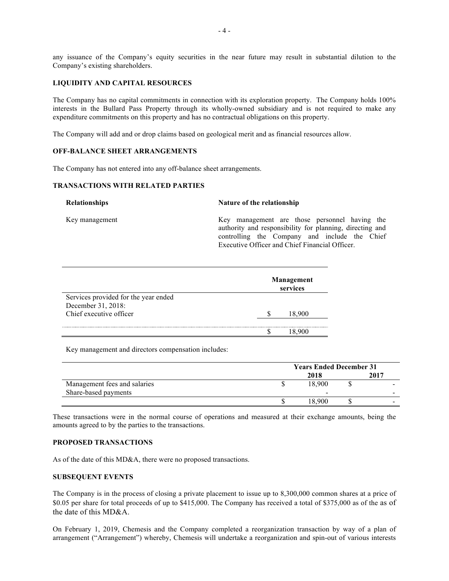any issuance of the Company's equity securities in the near future may result in substantial dilution to the Company's existing shareholders.

## **LIQUIDITY AND CAPITAL RESOURCES**

The Company has no capital commitments in connection with its exploration property. The Company holds 100% interests in the Bullard Pass Property through its wholly-owned subsidiary and is not required to make any expenditure commitments on this property and has no contractual obligations on this property.

The Company will add and or drop claims based on geological merit and as financial resources allow.

### **OFF-BALANCE SHEET ARRANGEMENTS**

The Company has not entered into any off-balance sheet arrangements.

## **TRANSACTIONS WITH RELATED PARTIES**

**Relationships Nature of the relationship**

Key management Key management are those personnel having the authority and responsibility for planning, directing and controlling the Company and include the Chief Executive Officer and Chief Financial Officer.

|                                      |  | Management<br>services |  |  |
|--------------------------------------|--|------------------------|--|--|
| Services provided for the year ended |  |                        |  |  |
| December 31, 2018:                   |  |                        |  |  |
| Chief executive officer              |  |                        |  |  |
|                                      |  |                        |  |  |
|                                      |  |                        |  |  |

Key management and directors compensation includes:

|                              | <b>Years Ended December 31</b> |        |  |      |
|------------------------------|--------------------------------|--------|--|------|
|                              |                                | 2018   |  | 2017 |
| Management fees and salaries |                                | 18.900 |  |      |
| Share-based payments         |                                | -      |  |      |
|                              |                                | 18.900 |  |      |

These transactions were in the normal course of operations and measured at their exchange amounts, being the amounts agreed to by the parties to the transactions.

#### **PROPOSED TRANSACTIONS**

As of the date of this MD&A, there were no proposed transactions.

### **SUBSEQUENT EVENTS**

The Company is in the process of closing a private placement to issue up to 8,300,000 common shares at a price of \$0.05 per share for total proceeds of up to \$415,000. The Company has received a total of \$375,000 as of the as of the date of this MD&A.

On February 1, 2019, Chemesis and the Company completed a reorganization transaction by way of a plan of arrangement ("Arrangement") whereby, Chemesis will undertake a reorganization and spin-out of various interests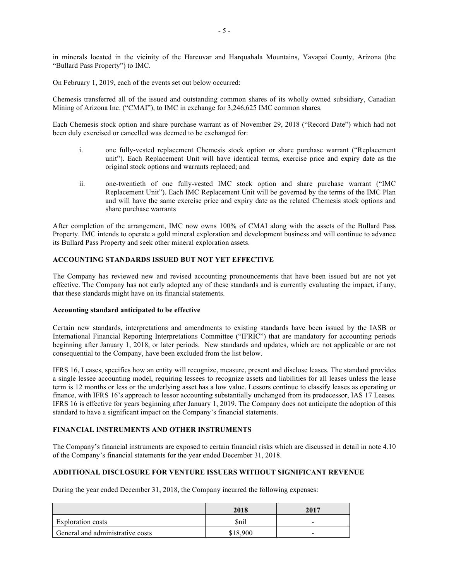in minerals located in the vicinity of the Harcuvar and Harquahala Mountains, Yavapai County, Arizona (the "Bullard Pass Property") to IMC.

On February 1, 2019, each of the events set out below occurred:

Chemesis transferred all of the issued and outstanding common shares of its wholly owned subsidiary, Canadian Mining of Arizona Inc. ("CMAI"), to IMC in exchange for 3,246,625 IMC common shares.

Each Chemesis stock option and share purchase warrant as of November 29, 2018 ("Record Date") which had not been duly exercised or cancelled was deemed to be exchanged for:

- i. one fully-vested replacement Chemesis stock option or share purchase warrant ("Replacement unit"). Each Replacement Unit will have identical terms, exercise price and expiry date as the original stock options and warrants replaced; and
- ii. one-twentieth of one fully-vested IMC stock option and share purchase warrant ("IMC Replacement Unit"). Each IMC Replacement Unit will be governed by the terms of the IMC Plan and will have the same exercise price and expiry date as the related Chemesis stock options and share purchase warrants

After completion of the arrangement, IMC now owns 100% of CMAI along with the assets of the Bullard Pass Property. IMC intends to operate a gold mineral exploration and development business and will continue to advance its Bullard Pass Property and seek other mineral exploration assets.

## **ACCOUNTING STANDARDS ISSUED BUT NOT YET EFFECTIVE**

The Company has reviewed new and revised accounting pronouncements that have been issued but are not yet effective. The Company has not early adopted any of these standards and is currently evaluating the impact, if any, that these standards might have on its financial statements.

### **Accounting standard anticipated to be effective**

Certain new standards, interpretations and amendments to existing standards have been issued by the IASB or International Financial Reporting Interpretations Committee ("IFRIC") that are mandatory for accounting periods beginning after January 1, 2018, or later periods. New standards and updates, which are not applicable or are not consequential to the Company, have been excluded from the list below.

IFRS 16, Leases, specifies how an entity will recognize, measure, present and disclose leases. The standard provides a single lessee accounting model, requiring lessees to recognize assets and liabilities for all leases unless the lease term is 12 months or less or the underlying asset has a low value. Lessors continue to classify leases as operating or finance, with IFRS 16's approach to lessor accounting substantially unchanged from its predecessor, IAS 17 Leases. IFRS 16 is effective for years beginning after January 1, 2019. The Company does not anticipate the adoption of this standard to have a significant impact on the Company's financial statements.

## **FINANCIAL INSTRUMENTS AND OTHER INSTRUMENTS**

The Company's financial instruments are exposed to certain financial risks which are discussed in detail in note 4.10 of the Company's financial statements for the year ended December 31, 2018.

### **ADDITIONAL DISCLOSURE FOR VENTURE ISSUERS WITHOUT SIGNIFICANT REVENUE**

During the year ended December 31, 2018, the Company incurred the following expenses:

|                                  | 2018        | 2017                     |
|----------------------------------|-------------|--------------------------|
| <b>Exploration costs</b>         | <b>Snil</b> | -                        |
| General and administrative costs | \$18,900    | $\overline{\phantom{0}}$ |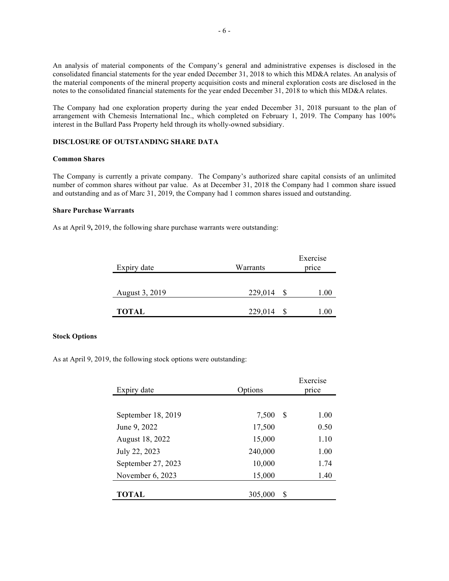An analysis of material components of the Company's general and administrative expenses is disclosed in the consolidated financial statements for the year ended December 31, 2018 to which this MD&A relates. An analysis of the material components of the mineral property acquisition costs and mineral exploration costs are disclosed in the notes to the consolidated financial statements for the year ended December 31, 2018 to which this MD&A relates.

The Company had one exploration property during the year ended December 31, 2018 pursuant to the plan of arrangement with Chemesis International Inc., which completed on February 1, 2019. The Company has 100% interest in the Bullard Pass Property held through its wholly-owned subsidiary.

### **DISCLOSURE OF OUTSTANDING SHARE DATA**

#### **Common Shares**

The Company is currently a private company. The Company's authorized share capital consists of an unlimited number of common shares without par value. As at December 31, 2018 the Company had 1 common share issued and outstanding and as of Marc 31, 2019, the Company had 1 common shares issued and outstanding.

### **Share Purchase Warrants**

As at April 9**,** 2019, the following share purchase warrants were outstanding:

| Expiry date    | Warrants | Exercise<br>price |
|----------------|----------|-------------------|
| August 3, 2019 | 229,014  | 1.00              |
| <b>TOTAL</b>   | 229,014  | 1.00              |

### **Stock Options**

As at April 9, 2019, the following stock options were outstanding:

| Expiry date        | Options |   | Exercise<br>price |  |
|--------------------|---------|---|-------------------|--|
|                    |         |   |                   |  |
| September 18, 2019 | 7,500   | S | 1.00              |  |
| June 9, 2022       | 17,500  |   | 0.50              |  |
| August 18, 2022    | 15,000  |   | 1.10              |  |
| July 22, 2023      | 240,000 |   | 1.00              |  |
| September 27, 2023 | 10,000  |   | 1.74              |  |
| November 6, 2023   | 15,000  |   | 1.40              |  |
| <b>TOTAL</b>       | 305,000 | S |                   |  |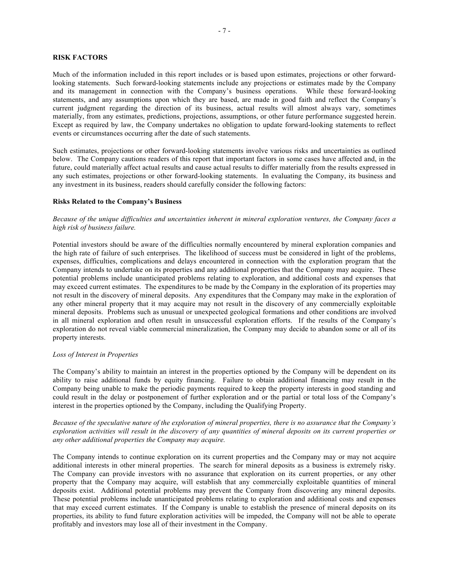### **RISK FACTORS**

Much of the information included in this report includes or is based upon estimates, projections or other forwardlooking statements. Such forward-looking statements include any projections or estimates made by the Company and its management in connection with the Company's business operations. While these forward-looking statements, and any assumptions upon which they are based, are made in good faith and reflect the Company's current judgment regarding the direction of its business, actual results will almost always vary, sometimes materially, from any estimates, predictions, projections, assumptions, or other future performance suggested herein. Except as required by law, the Company undertakes no obligation to update forward-looking statements to reflect events or circumstances occurring after the date of such statements.

Such estimates, projections or other forward-looking statements involve various risks and uncertainties as outlined below. The Company cautions readers of this report that important factors in some cases have affected and, in the future, could materially affect actual results and cause actual results to differ materially from the results expressed in any such estimates, projections or other forward-looking statements. In evaluating the Company, its business and any investment in its business, readers should carefully consider the following factors:

## **Risks Related to the Company's Business**

## *Because of the unique difficulties and uncertainties inherent in mineral exploration ventures, the Company faces a high risk of business failure.*

Potential investors should be aware of the difficulties normally encountered by mineral exploration companies and the high rate of failure of such enterprises. The likelihood of success must be considered in light of the problems, expenses, difficulties, complications and delays encountered in connection with the exploration program that the Company intends to undertake on its properties and any additional properties that the Company may acquire. These potential problems include unanticipated problems relating to exploration, and additional costs and expenses that may exceed current estimates. The expenditures to be made by the Company in the exploration of its properties may not result in the discovery of mineral deposits. Any expenditures that the Company may make in the exploration of any other mineral property that it may acquire may not result in the discovery of any commercially exploitable mineral deposits. Problems such as unusual or unexpected geological formations and other conditions are involved in all mineral exploration and often result in unsuccessful exploration efforts. If the results of the Company's exploration do not reveal viable commercial mineralization, the Company may decide to abandon some or all of its property interests.

### *Loss of Interest in Properties*

The Company's ability to maintain an interest in the properties optioned by the Company will be dependent on its ability to raise additional funds by equity financing. Failure to obtain additional financing may result in the Company being unable to make the periodic payments required to keep the property interests in good standing and could result in the delay or postponement of further exploration and or the partial or total loss of the Company's interest in the properties optioned by the Company, including the Qualifying Property.

*Because of the speculative nature of the exploration of mineral properties, there is no assurance that the Company's exploration activities will result in the discovery of any quantities of mineral deposits on its current properties or any other additional properties the Company may acquire.*

The Company intends to continue exploration on its current properties and the Company may or may not acquire additional interests in other mineral properties. The search for mineral deposits as a business is extremely risky. The Company can provide investors with no assurance that exploration on its current properties, or any other property that the Company may acquire, will establish that any commercially exploitable quantities of mineral deposits exist. Additional potential problems may prevent the Company from discovering any mineral deposits. These potential problems include unanticipated problems relating to exploration and additional costs and expenses that may exceed current estimates. If the Company is unable to establish the presence of mineral deposits on its properties, its ability to fund future exploration activities will be impeded, the Company will not be able to operate profitably and investors may lose all of their investment in the Company.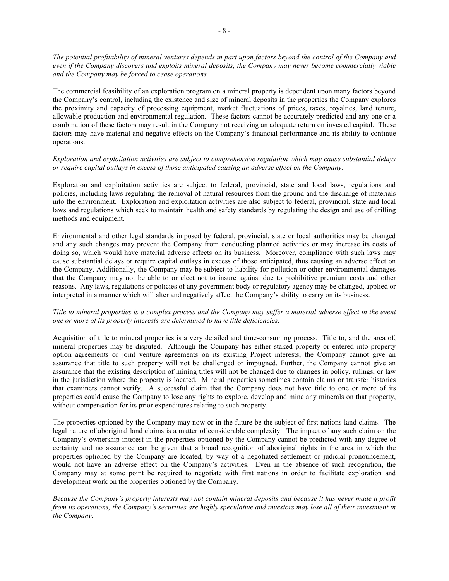*The potential profitability of mineral ventures depends in part upon factors beyond the control of the Company and even if the Company discovers and exploits mineral deposits, the Company may never become commercially viable and the Company may be forced to cease operations.*

The commercial feasibility of an exploration program on a mineral property is dependent upon many factors beyond the Company's control, including the existence and size of mineral deposits in the properties the Company explores the proximity and capacity of processing equipment, market fluctuations of prices, taxes, royalties, land tenure, allowable production and environmental regulation. These factors cannot be accurately predicted and any one or a combination of these factors may result in the Company not receiving an adequate return on invested capital. These factors may have material and negative effects on the Company's financial performance and its ability to continue operations.

## *Exploration and exploitation activities are subject to comprehensive regulation which may cause substantial delays or require capital outlays in excess of those anticipated causing an adverse effect on the Company.*

Exploration and exploitation activities are subject to federal, provincial, state and local laws, regulations and policies, including laws regulating the removal of natural resources from the ground and the discharge of materials into the environment. Exploration and exploitation activities are also subject to federal, provincial, state and local laws and regulations which seek to maintain health and safety standards by regulating the design and use of drilling methods and equipment.

Environmental and other legal standards imposed by federal, provincial, state or local authorities may be changed and any such changes may prevent the Company from conducting planned activities or may increase its costs of doing so, which would have material adverse effects on its business. Moreover, compliance with such laws may cause substantial delays or require capital outlays in excess of those anticipated, thus causing an adverse effect on the Company. Additionally, the Company may be subject to liability for pollution or other environmental damages that the Company may not be able to or elect not to insure against due to prohibitive premium costs and other reasons. Any laws, regulations or policies of any government body or regulatory agency may be changed, applied or interpreted in a manner which will alter and negatively affect the Company's ability to carry on its business.

## *Title to mineral properties is a complex process and the Company may suffer a material adverse effect in the event one or more of its property interests are determined to have title deficiencies.*

Acquisition of title to mineral properties is a very detailed and time-consuming process. Title to, and the area of, mineral properties may be disputed. Although the Company has either staked property or entered into property option agreements or joint venture agreements on its existing Project interests, the Company cannot give an assurance that title to such property will not be challenged or impugned. Further, the Company cannot give an assurance that the existing description of mining titles will not be changed due to changes in policy, rulings, or law in the jurisdiction where the property is located. Mineral properties sometimes contain claims or transfer histories that examiners cannot verify. A successful claim that the Company does not have title to one or more of its properties could cause the Company to lose any rights to explore, develop and mine any minerals on that property, without compensation for its prior expenditures relating to such property.

The properties optioned by the Company may now or in the future be the subject of first nations land claims. The legal nature of aboriginal land claims is a matter of considerable complexity. The impact of any such claim on the Company's ownership interest in the properties optioned by the Company cannot be predicted with any degree of certainty and no assurance can be given that a broad recognition of aboriginal rights in the area in which the properties optioned by the Company are located, by way of a negotiated settlement or judicial pronouncement, would not have an adverse effect on the Company's activities. Even in the absence of such recognition, the Company may at some point be required to negotiate with first nations in order to facilitate exploration and development work on the properties optioned by the Company.

*Because the Company's property interests may not contain mineral deposits and because it has never made a profit from its operations, the Company's securities are highly speculative and investors may lose all of their investment in the Company.*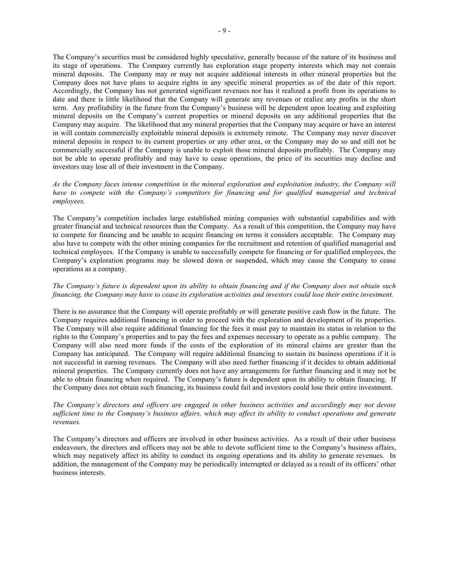The Company's securities must be considered highly speculative, generally because of the nature of its business and its stage of operations. The Company currently has exploration stage property interests which may not contain mineral deposits. The Company may or may not acquire additional interests in other mineral properties but the Company does not have plans to acquire rights in any specific mineral properties as of the date of this report. Accordingly, the Company has not generated significant revenues nor has it realized a profit from its operations to date and there is little likelihood that the Company will generate any revenues or realize any profits in the short term. Any profitability in the future from the Company's business will be dependent upon locating and exploiting mineral deposits on the Company's current properties or mineral deposits on any additional properties that the Company may acquire. The likelihood that any mineral properties that the Company may acquire or have an interest in will contain commercially exploitable mineral deposits is extremely remote. The Company may never discover mineral deposits in respect to its current properties or any other area, or the Company may do so and still not be commercially successful if the Company is unable to exploit those mineral deposits profitably. The Company may not be able to operate profitably and may have to cease operations, the price of its securities may decline and

### *As the Company faces intense competition in the mineral exploration and exploitation industry, the Company will have to compete with the Company's competitors for financing and for qualified managerial and technical employees.*

investors may lose all of their investment in the Company.

The Company's competition includes large established mining companies with substantial capabilities and with greater financial and technical resources than the Company. As a result of this competition, the Company may have to compete for financing and be unable to acquire financing on terms it considers acceptable. The Company may also have to compete with the other mining companies for the recruitment and retention of qualified managerial and technical employees. If the Company is unable to successfully compete for financing or for qualified employees, the Company's exploration programs may be slowed down or suspended, which may cause the Company to cease operations as a company.

## *The Company's future is dependent upon its ability to obtain financing and if the Company does not obtain such financing, the Company may have to cease its exploration activities and investors could lose their entire investment.*

There is no assurance that the Company will operate profitably or will generate positive cash flow in the future. The Company requires additional financing in order to proceed with the exploration and development of its properties. The Company will also require additional financing for the fees it must pay to maintain its status in relation to the rights to the Company's properties and to pay the fees and expenses necessary to operate as a public company. The Company will also need more funds if the costs of the exploration of its mineral claims are greater than the Company has anticipated. The Company will require additional financing to sustain its business operations if it is not successful in earning revenues. The Company will also need further financing if it decides to obtain additional mineral properties. The Company currently does not have any arrangements for further financing and it may not be able to obtain financing when required. The Company's future is dependent upon its ability to obtain financing. If the Company does not obtain such financing, its business could fail and investors could lose their entire investment.

## *The Company's directors and officers are engaged in other business activities and accordingly may not devote sufficient time to the Company's business affairs, which may affect its ability to conduct operations and generate revenues.*

The Company's directors and officers are involved in other business activities. As a result of their other business endeavours, the directors and officers may not be able to devote sufficient time to the Company's business affairs, which may negatively affect its ability to conduct its ongoing operations and its ability to generate revenues. In addition, the management of the Company may be periodically interrupted or delayed as a result of its officers' other business interests.